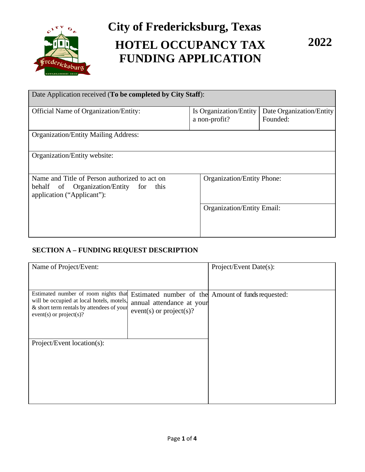

# **City of Fredericksburg, Texas HOTEL OCCUPANCY TAX FUNDING APPLICATION**

**2022**

| Date Application received (To be completed by City Staff):                                                               |                                         |                                      |  |  |  |
|--------------------------------------------------------------------------------------------------------------------------|-----------------------------------------|--------------------------------------|--|--|--|
| <b>Official Name of Organization/Entity:</b>                                                                             | Is Organization/Entity<br>a non-profit? | Date Organization/Entity<br>Founded: |  |  |  |
| <b>Organization/Entity Mailing Address:</b>                                                                              |                                         |                                      |  |  |  |
| Organization/Entity website:                                                                                             |                                         |                                      |  |  |  |
| Name and Title of Person authorized to act on<br>behalf of Organization/Entity for<br>this<br>application ("Applicant"): |                                         | <b>Organization/Entity Phone:</b>    |  |  |  |
|                                                                                                                          |                                         | Organization/Entity Email:           |  |  |  |

# **SECTION A – FUNDING REQUEST DESCRIPTION**

| Name of Project/Event:                                                                                                                                      |                                                      | Project/Event Date(s):                             |
|-------------------------------------------------------------------------------------------------------------------------------------------------------------|------------------------------------------------------|----------------------------------------------------|
| Estimated number of room nights that<br>will be occupied at local hotels, motels,<br>& short term rentals by attendees of your<br>$event(s)$ or project(s)? | annual attendance at your<br>event(s) or project(s)? | Estimated number of the Amount of funds requested: |
| Project/Event location(s):                                                                                                                                  |                                                      |                                                    |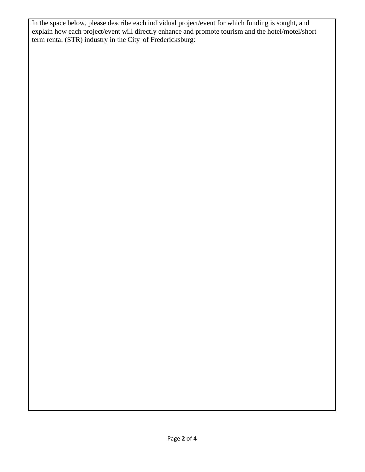In the space below, please describe each individual project/event for which funding is sought, and explain how each project/event will directly enhance and promote tourism and the hotel/motel/short term rental (STR) industry in the City of Fredericksburg: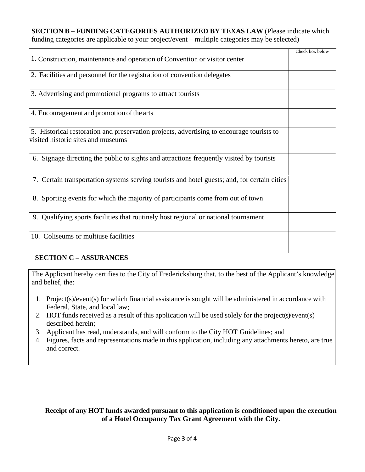#### **SECTION B – FUNDING CATEGORIES AUTHORIZED BY TEXAS LAW** (Please indicate which

funding categories are applicable to your project/event – multiple categories may be selected)

|                                                                                              | Check box below |
|----------------------------------------------------------------------------------------------|-----------------|
| 1. Construction, maintenance and operation of Convention or visitor center                   |                 |
| 2. Facilities and personnel for the registration of convention delegates                     |                 |
| 3. Advertising and promotional programs to attract tourists                                  |                 |
| 4. Encouragement and promotion of the arts                                                   |                 |
| 5. Historical restoration and preservation projects, advertising to encourage tourists to    |                 |
| visited historic sites and museums                                                           |                 |
| 6. Signage directing the public to sights and attractions frequently visited by tourists     |                 |
| 7. Certain transportation systems serving tourists and hotel guests; and, for certain cities |                 |
| 8. Sporting events for which the majority of participants come from out of town              |                 |
| 9. Qualifying sports facilities that routinely host regional or national tournament          |                 |
| 10. Coliseums or multiuse facilities                                                         |                 |

## **SECTION C – ASSURANCES**

The Applicant hereby certifies to the City of Fredericksburg that, to the best of the Applicant's knowledge and belief, the:

- 1. Project(s)/event(s) for which financial assistance is sought will be administered in accordance with Federal, State, and local law;
- 2. HOT funds received as a result of this application will be used solely for the project(s)/event(s) described herein;
- 3. Applicant has read, understands, and will conform to the City HOT Guidelines; and
- 4. Figures, facts and representations made in this application, including any attachments hereto, are true and correct.

# **Receipt of any HOT funds awarded pursuant to this application is conditioned upon the execution of a Hotel Occupancy Tax Grant Agreement with the City.**